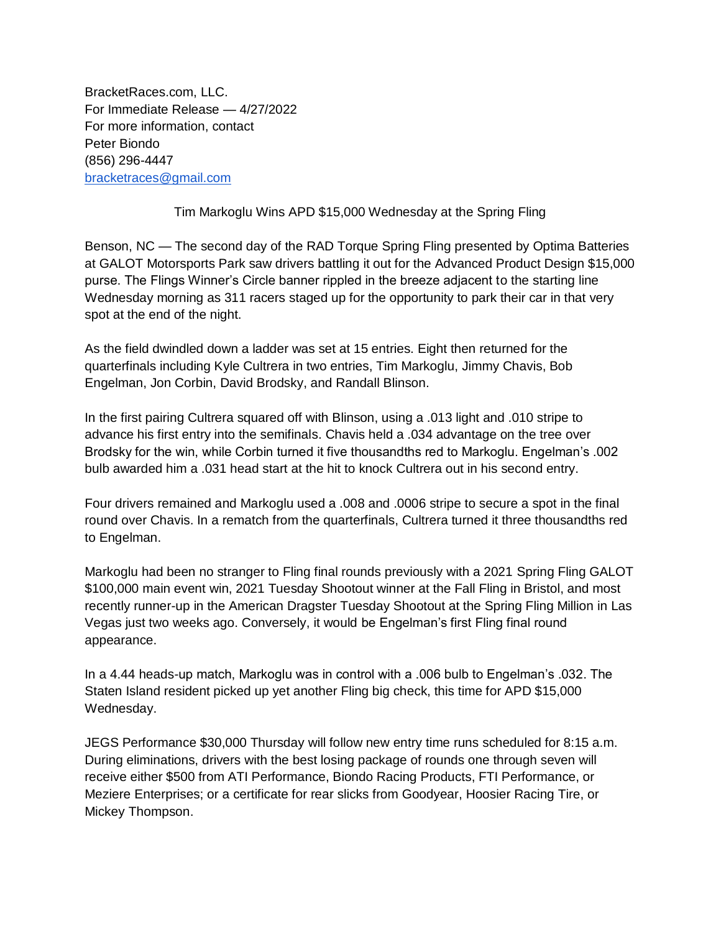BracketRaces.com, LLC. For Immediate Release — 4/27/2022 For more information, contact Peter Biondo (856) 296-4447 [bracketraces@gmail.com](mailto:bracketraces@gmail.com)

Tim Markoglu Wins APD \$15,000 Wednesday at the Spring Fling

Benson, NC — The second day of the RAD Torque Spring Fling presented by Optima Batteries at GALOT Motorsports Park saw drivers battling it out for the Advanced Product Design \$15,000 purse. The Flings Winner's Circle banner rippled in the breeze adjacent to the starting line Wednesday morning as 311 racers staged up for the opportunity to park their car in that very spot at the end of the night.

As the field dwindled down a ladder was set at 15 entries. Eight then returned for the quarterfinals including Kyle Cultrera in two entries, Tim Markoglu, Jimmy Chavis, Bob Engelman, Jon Corbin, David Brodsky, and Randall Blinson.

In the first pairing Cultrera squared off with Blinson, using a .013 light and .010 stripe to advance his first entry into the semifinals. Chavis held a .034 advantage on the tree over Brodsky for the win, while Corbin turned it five thousandths red to Markoglu. Engelman's .002 bulb awarded him a .031 head start at the hit to knock Cultrera out in his second entry.

Four drivers remained and Markoglu used a .008 and .0006 stripe to secure a spot in the final round over Chavis. In a rematch from the quarterfinals, Cultrera turned it three thousandths red to Engelman.

Markoglu had been no stranger to Fling final rounds previously with a 2021 Spring Fling GALOT \$100,000 main event win, 2021 Tuesday Shootout winner at the Fall Fling in Bristol, and most recently runner-up in the American Dragster Tuesday Shootout at the Spring Fling Million in Las Vegas just two weeks ago. Conversely, it would be Engelman's first Fling final round appearance.

In a 4.44 heads-up match, Markoglu was in control with a .006 bulb to Engelman's .032. The Staten Island resident picked up yet another Fling big check, this time for APD \$15,000 Wednesday.

JEGS Performance \$30,000 Thursday will follow new entry time runs scheduled for 8:15 a.m. During eliminations, drivers with the best losing package of rounds one through seven will receive either \$500 from ATI Performance, Biondo Racing Products, FTI Performance, or Meziere Enterprises; or a certificate for rear slicks from Goodyear, Hoosier Racing Tire, or Mickey Thompson.